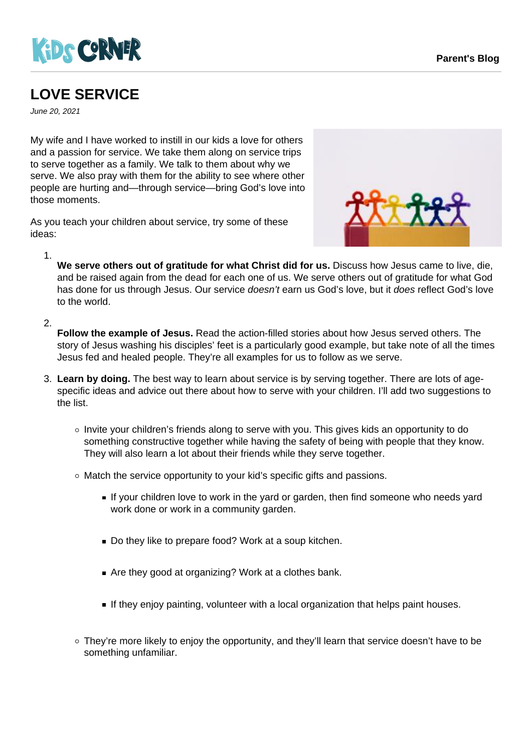



## **LOVE SERVICE**

June 20, 2021

My wife and I have worked to instill in our kids a love for others and a passion for service. We take them along on service trips to serve together as a family. We talk to them about why we serve. We also pray with them for the ability to see where other people are hurting and—through service—bring God's love into those moments.

As you teach your children about service, try some of these ideas:



**We serve others out of gratitude for what Christ did for us.** Discuss how Jesus came to live, die, and be raised again from the dead for each one of us. We serve others out of gratitude for what God has done for us through Jesus. Our service doesn't earn us God's love, but it does reflect God's love

2.

to the world.

1.

**Follow the example of Jesus.** Read the action-filled stories about how Jesus served others. The story of Jesus washing his disciples' feet is a particularly good example, but take note of all the times Jesus fed and healed people. They're all examples for us to follow as we serve.

- 3. **Learn by doing.** The best way to learn about service is by serving together. There are lots of agespecific ideas and advice out there about how to serve with your children. I'll add two suggestions to the list.
	- o Invite your children's friends along to serve with you. This gives kids an opportunity to do something constructive together while having the safety of being with people that they know. They will also learn a lot about their friends while they serve together.
	- Match the service opportunity to your kid's specific gifts and passions.
		- If your children love to work in the yard or garden, then find someone who needs yard work done or work in a community garden.
		- Do they like to prepare food? Work at a soup kitchen.
		- Are they good at organizing? Work at a clothes bank.
		- If they enjoy painting, volunteer with a local organization that helps paint houses.
	- $\circ$  They're more likely to enjoy the opportunity, and they'll learn that service doesn't have to be something unfamiliar.